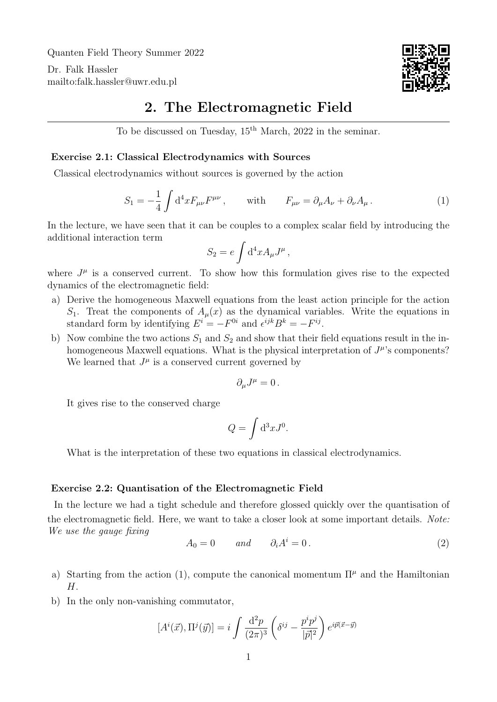Quanten Field Theory Summer 2022

Dr. Falk Hassler <mailto:falk.hassler@uwr.edu.pl>



## 2. The Electromagnetic Field

To be discussed on Tuesday, 15th March, 2022 in the seminar.

## Exercise 2.1: Classical Electrodynamics with Sources

Classical electrodynamics without sources is governed by the action

<span id="page-0-0"></span>
$$
S_1 = -\frac{1}{4} \int d^4x F_{\mu\nu} F^{\mu\nu} , \qquad \text{with} \qquad F_{\mu\nu} = \partial_\mu A_\nu + \partial_\nu A_\mu . \tag{1}
$$

In the lecture, we have seen that it can be couples to a complex scalar field by introducing the additional interaction term

$$
S_2 = e \int \mathrm{d}^4 x A_\mu J^\mu \,,
$$

where  $J^{\mu}$  is a conserved current. To show how this formulation gives rise to the expected dynamics of the electromagnetic field:

- a) Derive the homogeneous Maxwell equations from the least action principle for the action  $S_1$ . Treat the components of  $A_\mu(x)$  as the dynamical variables. Write the equations in standard form by identifying  $E^i = -F^{0i}$  and  $\epsilon^{ijk}B^k = -F^{ij}$ .
- b) Now combine the two actions  $S_1$  and  $S_2$  and show that their field equations result in the inhomogeneous Maxwell equations. What is the physical interpretation of  $J^{\mu}$ 's components? We learned that  $J^{\mu}$  is a conserved current governed by

<span id="page-0-1"></span>
$$
\partial_{\mu}J^{\mu}=0\,.
$$

It gives rise to the conserved charge

$$
Q = \int \mathrm{d}^3 x J^0.
$$

What is the interpretation of these two equations in classical electrodynamics.

## Exercise 2.2: Quantisation of the Electromagnetic Field

In the lecture we had a tight schedule and therefore glossed quickly over the quantisation of the electromagnetic field. Here, we want to take a closer look at some important details. Note: We use the gauge fixing

$$
A_0 = 0 \t and \t \partial_i A^i = 0.
$$
\t(2)

- a) Starting from the action [\(1\)](#page-0-0), compute the canonical momentum  $\Pi^{\mu}$  and the Hamiltonian H.
- b) In the only non-vanishing commutator,

$$
[Ai(\vec{x}), \Pij(\vec{y})] = i \int \frac{\mathrm{d}^2 p}{(2\pi)^3} \left( \delta^{ij} - \frac{p^i p^j}{|\vec{p}|^2} \right) e^{i\vec{p}(\vec{x} - \vec{y})}
$$